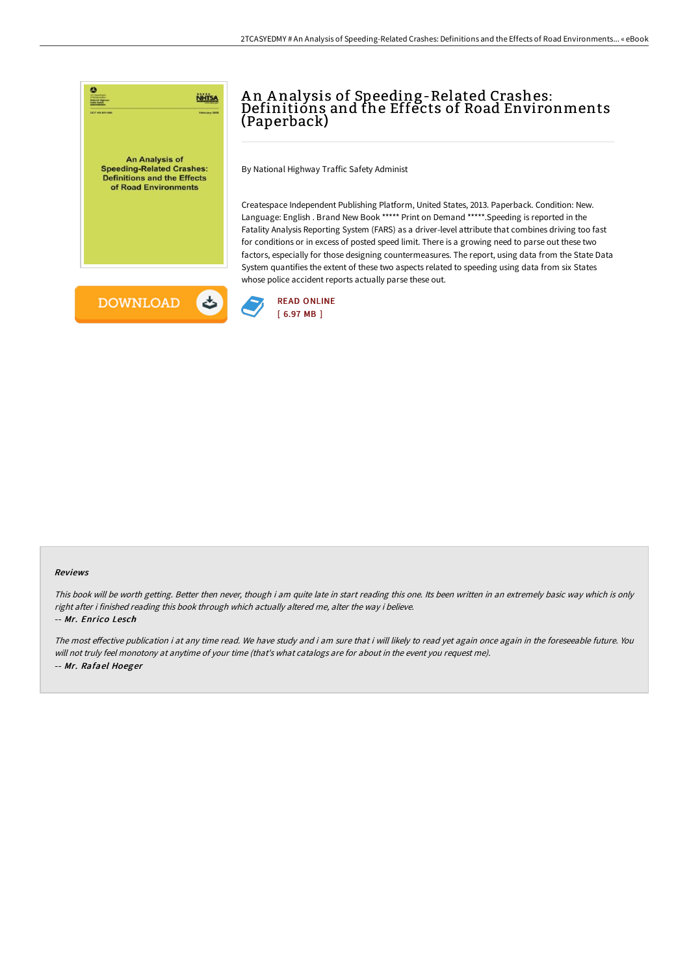

# A n A nalysis of Speeding-Related Crashes: Definitions and the Effects of Road Environments (Paperback)

By National Highway Traffic Safety Administ

Createspace Independent Publishing Platform, United States, 2013. Paperback. Condition: New. Language: English . Brand New Book \*\*\*\*\* Print on Demand \*\*\*\*\*.Speeding is reported in the Fatality Analysis Reporting System (FARS) as a driver-level attribute that combines driving too fast for conditions or in excess of posted speed limit. There is a growing need to parse out these two factors, especially for those designing countermeasures. The report, using data from the State Data System quantifies the extent of these two aspects related to speeding using data from six States whose police accident reports actually parse these out.





#### Reviews

This book will be worth getting. Better then never, though i am quite late in start reading this one. Its been written in an extremely basic way which is only right after i finished reading this book through which actually altered me, alter the way i believe.

#### -- Mr. Enrico Lesch

The most effective publication i at any time read. We have study and i am sure that i will likely to read yet again once again in the foreseeable future. You will not truly feel monotony at anytime of your time (that's what catalogs are for about in the event you request me). -- Mr. Rafael Hoeger